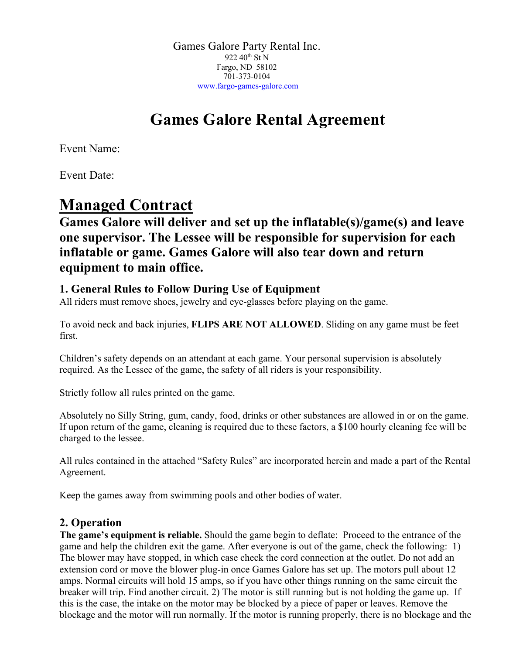Games Galore Party Rental Inc. 922 40<sup>th</sup> St N Fargo, ND 58102 701-373-0104 www.fargo-games-galore.com

# **Games Galore Rental Agreement**

Event Name:

Event Date:

## **Managed Contract**

## **Games Galore will deliver and set up the inflatable(s)/game(s) and leave one supervisor. The Lessee will be responsible for supervision for each inflatable or game. Games Galore will also tear down and return equipment to main office.**

### **1. General Rules to Follow During Use of Equipment**

All riders must remove shoes, jewelry and eye-glasses before playing on the game.

To avoid neck and back injuries, **FLIPS ARE NOT ALLOWED**. Sliding on any game must be feet first.

Children's safety depends on an attendant at each game. Your personal supervision is absolutely required. As the Lessee of the game, the safety of all riders is your responsibility.

Strictly follow all rules printed on the game.

Absolutely no Silly String, gum, candy, food, drinks or other substances are allowed in or on the game. If upon return of the game, cleaning is required due to these factors, a \$100 hourly cleaning fee will be charged to the lessee.

All rules contained in the attached "Safety Rules" are incorporated herein and made a part of the Rental Agreement.

Keep the games away from swimming pools and other bodies of water.

### **2. Operation**

**The game's equipment is reliable.** Should the game begin to deflate: Proceed to the entrance of the game and help the children exit the game. After everyone is out of the game, check the following: 1) The blower may have stopped, in which case check the cord connection at the outlet. Do not add an extension cord or move the blower plug-in once Games Galore has set up. The motors pull about 12 amps. Normal circuits will hold 15 amps, so if you have other things running on the same circuit the breaker will trip. Find another circuit. 2) The motor is still running but is not holding the game up. If this is the case, the intake on the motor may be blocked by a piece of paper or leaves. Remove the blockage and the motor will run normally. If the motor is running properly, there is no blockage and the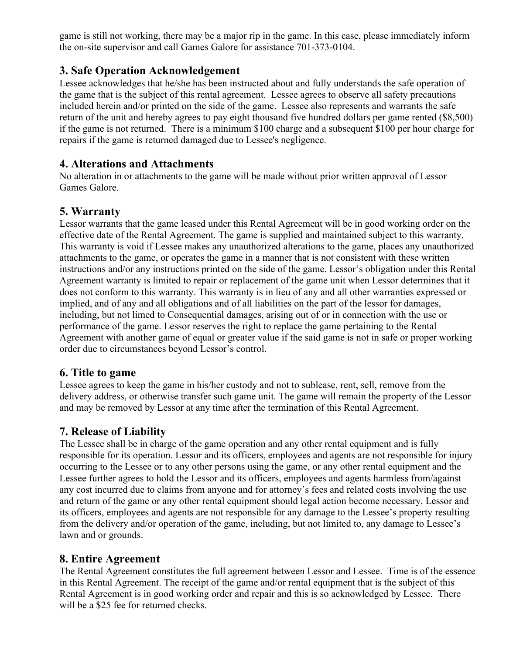game is still not working, there may be a major rip in the game. In this case, please immediately inform the on-site supervisor and call Games Galore for assistance 701-373-0104.

#### **3. Safe Operation Acknowledgement**

Lessee acknowledges that he/she has been instructed about and fully understands the safe operation of the game that is the subject of this rental agreement. Lessee agrees to observe all safety precautions included herein and/or printed on the side of the game. Lessee also represents and warrants the safe return of the unit and hereby agrees to pay eight thousand five hundred dollars per game rented (\$8,500) if the game is not returned. There is a minimum \$100 charge and a subsequent \$100 per hour charge for repairs if the game is returned damaged due to Lessee's negligence.

#### **4. Alterations and Attachments**

No alteration in or attachments to the game will be made without prior written approval of Lessor Games Galore.

#### **5. Warranty**

Lessor warrants that the game leased under this Rental Agreement will be in good working order on the effective date of the Rental Agreement. The game is supplied and maintained subject to this warranty. This warranty is void if Lessee makes any unauthorized alterations to the game, places any unauthorized attachments to the game, or operates the game in a manner that is not consistent with these written instructions and/or any instructions printed on the side of the game. Lessor's obligation under this Rental Agreement warranty is limited to repair or replacement of the game unit when Lessor determines that it does not conform to this warranty. This warranty is in lieu of any and all other warranties expressed or implied, and of any and all obligations and of all liabilities on the part of the lessor for damages, including, but not limed to Consequential damages, arising out of or in connection with the use or performance of the game. Lessor reserves the right to replace the game pertaining to the Rental Agreement with another game of equal or greater value if the said game is not in safe or proper working order due to circumstances beyond Lessor's control.

#### **6. Title to game**

Lessee agrees to keep the game in his/her custody and not to sublease, rent, sell, remove from the delivery address, or otherwise transfer such game unit. The game will remain the property of the Lessor and may be removed by Lessor at any time after the termination of this Rental Agreement.

#### **7. Release of Liability**

The Lessee shall be in charge of the game operation and any other rental equipment and is fully responsible for its operation. Lessor and its officers, employees and agents are not responsible for injury occurring to the Lessee or to any other persons using the game, or any other rental equipment and the Lessee further agrees to hold the Lessor and its officers, employees and agents harmless from/against any cost incurred due to claims from anyone and for attorney's fees and related costs involving the use and return of the game or any other rental equipment should legal action become necessary. Lessor and its officers, employees and agents are not responsible for any damage to the Lessee's property resulting from the delivery and/or operation of the game, including, but not limited to, any damage to Lessee's lawn and or grounds.

#### **8. Entire Agreement**

The Rental Agreement constitutes the full agreement between Lessor and Lessee. Time is of the essence in this Rental Agreement. The receipt of the game and/or rental equipment that is the subject of this Rental Agreement is in good working order and repair and this is so acknowledged by Lessee. There will be a \$25 fee for returned checks.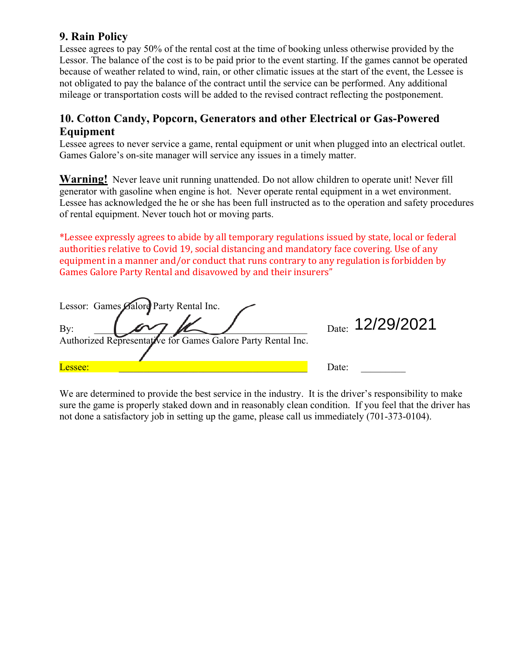#### **9. Rain Policy**

Lessee agrees to pay 50% of the rental cost at the time of booking unless otherwise provided by the Lessor. The balance of the cost is to be paid prior to the event starting. If the games cannot be operated because of weather related to wind, rain, or other climatic issues at the start of the event, the Lessee is not obligated to pay the balance of the contract until the service can be performed. Any additional mileage or transportation costs will be added to the revised contract reflecting the postponement.

#### **10. Cotton Candy, Popcorn, Generators and other Electrical or Gas-Powered Equipment**

Lessee agrees to never service a game, rental equipment or unit when plugged into an electrical outlet. Games Galore's on-site manager will service any issues in a timely matter.

**Warning!** Never leave unit running unattended. Do not allow children to operate unit! Never fill generator with gasoline when engine is hot. Never operate rental equipment in a wet environment. Lessee has acknowledged the he or she has been full instructed as to the operation and safety procedures of rental equipment. Never touch hot or moving parts.

\*Lessee expressly agrees to abide by all temporary regulations issued by state, local or federal authorities relative to Covid 19, social distancing and mandatory face covering. Use of any equipment in a manner and/or conduct that runs contrary to any regulation is forbidden by Games Galore Party Rental and disavowed by and their insurers"

| Lessor: Games Galore Party Rental Inc.                       |                  |
|--------------------------------------------------------------|------------------|
| By:                                                          | Date: 12/29/2021 |
| Authorized Representative for Games Galore Party Rental Inc. |                  |
|                                                              |                  |
| Lessee:                                                      | Date:            |

We are determined to provide the best service in the industry. It is the driver's responsibility to make sure the game is properly staked down and in reasonably clean condition. If you feel that the driver has not done a satisfactory job in setting up the game, please call us immediately (701-373-0104).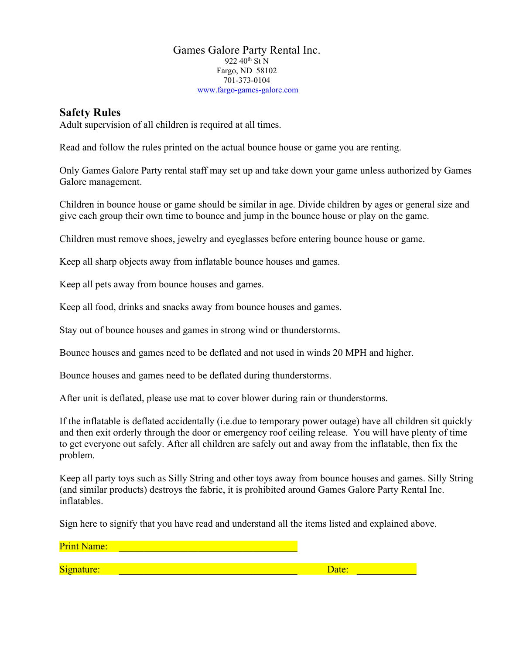#### Games Galore Party Rental Inc. 922 40<sup>th</sup> St N Fargo, ND 58102 701-373-0104 www.fargo-games-galore.com

#### **Safety Rules**

Adult supervision of all children is required at all times.

Read and follow the rules printed on the actual bounce house or game you are renting.

Only Games Galore Party rental staff may set up and take down your game unless authorized by Games Galore management.

Children in bounce house or game should be similar in age. Divide children by ages or general size and give each group their own time to bounce and jump in the bounce house or play on the game.

Children must remove shoes, jewelry and eyeglasses before entering bounce house or game.

Keep all sharp objects away from inflatable bounce houses and games.

Keep all pets away from bounce houses and games.

Keep all food, drinks and snacks away from bounce houses and games.

Stay out of bounce houses and games in strong wind or thunderstorms.

Bounce houses and games need to be deflated and not used in winds 20 MPH and higher.

Bounce houses and games need to be deflated during thunderstorms.

After unit is deflated, please use mat to cover blower during rain or thunderstorms.

If the inflatable is deflated accidentally (i.e.due to temporary power outage) have all children sit quickly and then exit orderly through the door or emergency roof ceiling release. You will have plenty of time to get everyone out safely. After all children are safely out and away from the inflatable, then fix the problem.

Keep all party toys such as Silly String and other toys away from bounce houses and games. Silly String (and similar products) destroys the fabric, it is prohibited around Games Galore Party Rental Inc. inflatables.

Sign here to signify that you have read and understand all the items listed and explained above.

Print Name: Signature: \_\_\_\_\_\_\_\_\_\_\_\_\_\_\_\_\_\_\_\_\_\_\_\_\_\_\_\_\_\_\_\_\_\_\_\_ Date: \_\_\_\_\_\_\_\_\_\_\_\_